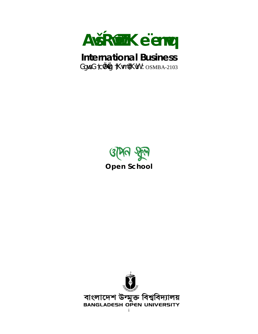

## **International Business**

GgweG tc@@ tKwm @KwW : OSMBA-2103



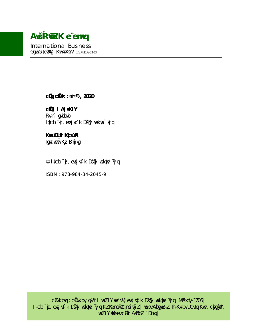## AvšŔ@ZK e"emvq

**International Business** GgweG tc@G tKwm @KwW : OSMBA-2103

C $\ddot{Q}$  CKOK: আগস্ট, 2020

c**Ö** l AjsKiY Rv‡n` gvbbvb Itcb + y evsj vt k Dš§ wekwe vj q

#### KwyúDUvi Kt¤úvR

tavt wmwi Kiz Bmj va

© Itcb  $\phi$ , evsj vt`k Dš $\mathcal{G}$  wekwe ivjq

ISBN: 978-984-34-2045-9

c Ölkbvq : c Ölkbv, g y T we Z i Y we f vM, evsj vt ` k D š§ y we kue ` "vj q, Mv R x c y - 1705 | I tcb <sup>-</sup> &, evsj vt \ k Dš§ wekye vj q KZK me Zimsi wyZ| webv AbgwZtZ tht Kvtbv Dcvtq Kwc, chg §?, WeZiY WKsev chi AvBbZ `Đbxq|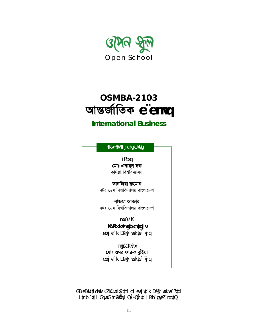

# **OSMBA-2103** আন্তর্জাতিক e emvq

#### **International Business**

| <u>†Kwm¶W‡fj c‡g›U wUg</u>      |  |
|---------------------------------|--|
| i Pbvq                          |  |
| মোঃ এনামুল হক                   |  |
| কুমিল্লা বিশ্ববিদ্যালয়         |  |
| তানজিয়া রহমান                  |  |
| নটর ডেম বিশ্ববিদ্যালয় বাংলাদেশ |  |
| নাজমা আক্তার                    |  |
| নটর ডেম বিশ্ববিদ্যালয় বাংলাদেশ |  |
| m¤úv` K                         |  |
| KvRx kvivgb cvtgj v             |  |
| evsj v‡`k Dš§? wekwe` vj q      |  |
| mgšqKvix                        |  |
| মোঃ ওমর ফারুক ভূঁইয়া           |  |

GB eBwU tidwwi KZKR.wbixytYi ci evsjvt`k Dš§3 wekwe`vtqi I tcb <sup>-</sup>dzj i GgweG tcwodzig i Qvi -Qvi xt i Rb gw Z ntqtQ|

evsj v‡`k Dš§3 wekwe` vj q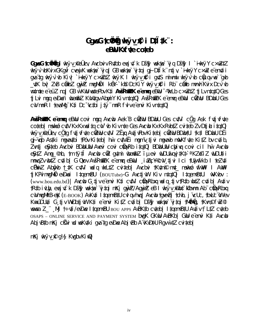#### GgweG tcwo wide with with the country of the control of the country of the country of the Cauchi and the Cauchi and the Cauchi and the Cauchi and the Cauchi and the Cauchi and the Cauchi and the Cauchi and the Cauchi and t eBwU Kxfute coteb

GqueG tcilining i wkyv\_reighty, Avcbviv Rvtbb evsjvt k Dšfg wekue vjq Dšfg I `inkyy c×wZtZ wkÿv`vbKvix GKqvÎ cvewiK wekwe`viq|GB wekwe`vitai qi Dtik`ntiv, `iwkÿY c×wZ e envtii gva tg wkÿr`vb Kiv| `inkÿY c×wZtZ wkÿK I wkÿv\_n\$ i gvtS miwmwi wkÿr`vb cŵqu we` gvb \_v‡K bv| ZvB c@ibZ gw)Z mvgMiÖl keY-`ko© DcKiY wkÿv\_n© i Rb c@ib mvnvh Kvix Dcv`vb whimte e euZ ng | GB w KwU wetePby Kti AvšŔwZK e emvg eBwU - nkLb c xwZtZ ti Ly ntgtQ Ges ti Lvi mgg evDwe'i wbam? KvVvtgv AbmyiY Kiv ntgtQ| AvšRm $Z$ K e emvg eBwUi cm $\bar{Z}$ wU BDwbU Ges cvV mnR I tevaMg K#i Dc vc#bi jty mnR fvIve envi Kiv n#q#Q|

ANŠRWAZK e emug eBuU covi mgg Avcub Aek B ciùzuu BDubU Ges cutVi còg Ask futivfute coteb| mswkóż cutV Kx Kx weltą cuV ub Kiv nte Ges Aucub Kx Kx RubtZ cuiteb Zv DtibitatQ| wkÿv "@Üżv, cÖg fy‡jvfyte c@W cytVi ZËxg AytjvPbv Kiteb| c@W BDwbtUi tk‡l BDwbU DËi givgb Astki mgyaytbi tPóv Kiteb| hwì cytWËi mgmvtivi mgyayb mw/Kfyte KitZ by cytib, Zvn‡j e \$‡eb Avcbvi BDwbUwU Avevi covi ctavRb i‡qtQ| BDwbUwU chaivq covi cil hwì Avcwb e \$#Z Amq\_@nb, tm tyti Avcub coz qutmi ubam? i uevi uUDUwiqvj#Kt> a KZ@iZ uUDU#ii mnvqZv wb‡Z cv‡ib| G Qvov AvšŔwQK e emvq eBwUi \_iaZcYQvV\_tjvi Ici tUwjwfkb I teZv‡i cÖwiZ Abôyb † ‡K cy‡Vi welg wkL‡Z cyiteb| Avcbyi †Kytm© myt mswkós wfwVl I AwVl ti KPvimygMÖ evDwei ltgemyBU (BOUTube)-G AvctivW Kiv ntgtQ| ltgemyBtUi wWWby : (www.bou.edu.bd) | Avcub G tive envi Kti cutVi convertion uplg tiv tRth ubtz cutib | Autiv tRtb ivLby, evsjvt`k Dš§? wekwe`vjtqi mKj qw}Z/Aqw}Z eB I wkÿv\_@bt`@bwmn Ab cÖqvRbxq CVMWQM&B-eK (E-BOOK) AvKyti ItgemvBtU Cvl gv hvg | AvCub tgvevBj tdvb, j vCUC, tbvUC W ev Kw¤úDUv‡i G tjv WvDb‡jvW Kti e envi KitZ cvtib| Dš§i wekwe`vjtqi †Mn**üng**, †Kvm©fwZ© wewea Z ¨ Mi t÷uti/evDwe ltgemvBU bou Apps AvBKtb cuteb| ltgemvBtU Autiv t`LtZ cuteb OSAPS - ONLINE SERVICE AND PAYMENT SYSTEM bVgK GKWU AVBKb| GWU e envi Kti Avcub Abj vBtb mKj c $\ddot{\text{E}}$ i wd weKvtki qva tq evDwe Abj vBb A vKvDtV Rqv w tZ cviteb

 $mK$ j wk $\forall v \ \mathcal{P} q$ ½j Kvqbv KiwQ $\mid$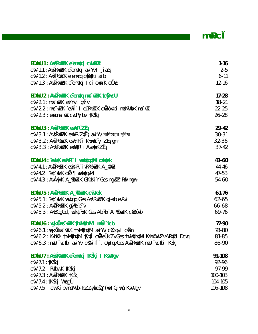$m\Psi$ c $\widehat{\mathbf{I}}$ 

 $\mathcal{L}^{\text{max}}_{\text{max}}$ 

| <b>BDubU 1 : AvšR@ZK e emvtqi cuivPuZ</b>                                               | $1 - 16$  |
|-----------------------------------------------------------------------------------------|-----------|
| cvV-1.1 : AvšŔwZK e emvtqi aviYv I , iaZi                                               | $2 - 5$   |
| cvV-1.2 : AvšRwZK e emvtq cràtki aib                                                    | $6-11$    |
| cvV-1.3 : AvšRn $(ZK)$ e emvtqi Ici evvn K cide                                         | $12 - 16$ |
| <b>BDrbU 2 : AvšR@ZK e emdq mus @ZK tc@cU</b>                                           | $17 - 28$ |
| $CV-2.1:$ mvs $W-Z.K$ avi Yv   gy $V$ v                                                 | $18 - 21$ |
| cvV-2.2 : mvs <sup>-</sup> wZ.K ^evPÎ dil eûRvwZK cwZôv‡bi mvsMVwbK ms <sup>-</sup> wZ. | $22 - 25$ |
| cvV-2.3 : ewntms <sup>-</sup> wZ.cwiPvjbvi †KŠkj                                        | $26 - 28$ |
| <b>BDubU 3: AvšR@ZK ewVR"ZË;</b>                                                        | $29 - 42$ |
| cvV-3.1 : AvšRmZK ewMR Z‡Ej avi Yv, বাণিজ্যের সুবিধা                                    | $30 - 31$ |
| CVV-3.2: AvšRMRZK evwYtR i KwmnK vj ZEmgn-                                              | $32 - 36$ |
| cW-3.3 : AvšRn $\n  ZK$ ewn'tR i Avamb KZË <sub>i</sub>                                 | $37-42$   |
| <b>BDubU 4 : `eukK eun'R` I veubtqutMi cuitek</b>                                       | 43-60     |
| CVV-4.1 : AVŠRWAZK evwYtR" ivR‰WZK A_KWZ                                                | $44 - 46$ |
| $CV-4.2 : \hat{c}$ is the $K \cap \mathbb{Z}$ of the world $V$                          | $47 - 53$ |
| CVV-4.3: AvÂwj K A_%BWZK GKxKiY Ges mgwšZ Pw <sup>3</sup> mgn-                          | 54-60     |
| <b>BDubU 5 : AvšR@ZK A_%DuZK cwitek</b>                                                 | $61 - 76$ |
| cvV-5.1 : ^et `wkK wewbgq Ges AvšRw $ZK$ gj-ab evRvi                                    | 62-65     |
| cwV-5.2 : AvšRnazK g`yne e <sup>-</sup> v                                               | 66-68     |
| cvV-5.3: AvBGgGd, weke vsK Ges Ab vb A_%DwZK cn2ovb                                     | 69-76     |
| BDubU 6 : vgkäns az K thum4hum I muÜ "vcb                                               | 77-90     |
| cvV-6.1 : wgk@ws <sup>-</sup> wzK thwMythytMi aviYv, copuqv I c@n                       | 78-80     |
| cvV-6.2 : Kvhk?i thvMvthvtMi tytî cwZeÜKZv Ges thvMvthvtMi Kvhk?wwiZv AR\$Di Dcvq       | 81-85     |
| cvV-6.3 : mwÜ ~vctbi aviYv, ckVitf`, coQuqv Ges AvšRo $\mathbb Z$ K mwÜ ~vctbi †KŠkj    | 86-90     |
| BDubU 7 : AvšR@ZK e emutqi †KŠkj I KWutgv                                               | 91-108    |
| $cvV-7.1$ : † $K\$                                                                      | 92-96     |
| $cvV$ -7.2 : †R $\ddagger$ bwi K $\ddagger$ KŠkj                                        | 97-99     |
| $CV-7.3: AvšRWZK$ †KŠkj                                                                 | 100-103   |
| cvV-7.4 : †KŠkj WvqgÛ                                                                   | 104-105   |
| cvV-7.5: cwi Kí bv-msMVb-tbZZ <sub>i</sub> wbqšY (wcl Gj wm) KvVvtgv                    | 106-108   |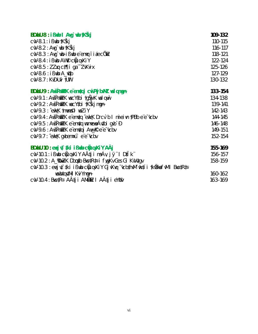| BDubU 8 : i Bub I Aug`ub †KŠkj                                                 | 109-132 |
|--------------------------------------------------------------------------------|---------|
| cvV-8.1 : iBwb †KŠkj                                                           | 110-115 |
| $CV-8.2 : Avg`wb †KŠkj$                                                        | 116-117 |
| cvV-8.3 : Avg`wb-ißwb e emvq i i ai cÖlZ                                       | 118-121 |
| CVV-8.4 : i Bwb AWP COUqvKiY                                                   | 122-124 |
| $CV-8.5: ZZ$ kq $ct$ ¶i ga $TZvK$ vix                                          | 125-126 |
| $CV-8.6$ : i Bwb $A$ @pb                                                       | 127-129 |
| CVV-8.7: KvD>Uvi †UW                                                           | 130-132 |
| <b>BDubU 9 : AvšR@ZK e emdqi cui Pvj bullZ uel qmgn-</b>                       | 133-154 |
| cvV-9.1 : AvšRn $\nabla$ K wecY‡bi †gŠwj K welgwr                              | 134-138 |
| cvV-9.2 : AvšŔn $\nabla$ K wecY‡bi †KŠkj mgn-                                  | 139-141 |
| CVV-9.3 : ^ewkK tmwms©l weZiY                                                  | 142-143 |
| cvV-9.4 : AvšRn $\nabla$ K e emvtg ^ewkK Drcv`b I mieivn tPBb e e tcbv         | 144-145 |
| cvV-9.5 : AvšRn $\nabla$ K e emvtq unmvereÁvtbi gvb D                          | 146-148 |
| cW-9.6 : AvšRn $\n  ZK$ e emvtqi Avm $\n  Re$ e e vcbv                         | 149-151 |
| cw-9.7: ewkK gybem¤u e e vcby                                                  | 152-154 |
| BDubU 10 : evsjut`‡ki ißwb cmQqvKiY AÂj                                        | 155-169 |
| cvV-10.1 : ißwb c $\ddot{\mathbf{Q}}$ uqvKiY A‡ji msÁv, jÿ l D‡Ïk "            | 156-157 |
| CVV-10.2: A_%BWZK Dbqdeb BWC#R#wi flygKv Ges Gi KvVv#gv                        | 158-159 |
| cvV-10.3 : evsjv‡`‡ki ißwb cŵqqvKiY GjvKvq ~vcb‡hvM" wk‡í i †k��mefvM I Bwc‡R‡ |         |
| wewb‡qv‡Mi KviYmgn-                                                            | 160-162 |
| cW-10.4 : Bwc‡Rড A‡ji AMWÖNZ I A‡ji eY®                                        | 163-169 |
|                                                                                |         |